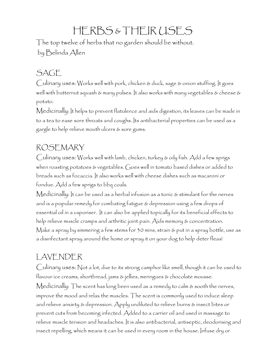# HERBS & THEIR USES

The top twelve of herbs that no garden should be without. by Belinda Allen

# SAGE

Culinary uses: Works well with pork, chicken & duck, sage & onion stuffing. It goes well with butternut squash  $\epsilon$  many pulses. It also works with many vegetables  $\epsilon$  cheese  $\epsilon$ potato.

Medicinally: It helps to prevent flatulence and aids digestion, its leaves can be made in to a tea to ease sore throats and coughs. Its antibacterial properties can be used as a gargle to help relieve mouth ulcers & sore gums.

# ROSEMARY

Culinary uses: Works well with lamb, chicken, turkey & oily fish. Add a few sprigs when roasting potatoes & vegetables. Goes well in tomato based dishes or added to breads such as focaccia. It also works well with cheese dishes such as macaroni or fondue. Add a few sprigs to bbq coals.

Medicinally: It can be used as a herbal infusion as a tonic & stimulant for the nerves and is a popular remedy for combating fatigue & depression using a few drops of essential oil in a vaporiser. It can also be applied topically for its beneficial effects to help relieve muscle cramps and arthritic joint pain. Aids memory & concentration. Make a spray by simmering a few stems for 30 mins, strain & put in a spray bottle, use as a disinfectant spray around the home or spray it on your dog to help deter fleas!

# LAVENDER

Culinary uses: Not a lot, due to its strong camphor like smell, though it can be used to flavour ice creams, shortbread, jams & jellies, meringues & chocolate mousse. Medicinally: The scent has long been used as a remedy to calm & sooth the nerves, improve the mood and relax the muscles. The scent is commonly used to induce sleep and relieve anxiety & depression. Apply undiluted to relieve burns & insect bites or prevent cuts from becoming infected. Added to a carrier oil and used in massage to relieve muscle tension and headaches. It is also antibacterial, antiseptic, deodorising and insect repelling, which means it can be used in every room in the house. Infuse dry or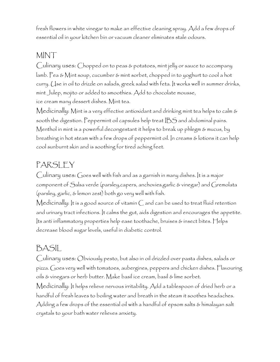fresh flowers in white vinegar to make an effective cleaning spray. Add a few drops of essential oil in your kitchen bin or vacuum cleaner eliminates stale odours.

### MINT

Culinary uses: Chopped on to peas & potatoes, mint jelly or sauce to accompany lamb. Pea & Mint soup, cucumber & mint sorbet, chopped in to yoghurt to cool a hot curry. Use in oil to drizzle on salads, greek salad with feta. It works well in summer drinks, mint Julep, mojito or added to smoothies. Add to chocolate mousse, ice cream many dessert dishes. Mint tea.

Medicinally: Mint is a very effective antioxidant and drinking mint tea helps to calm & sooth the digestion. Peppermint oil capsules help treat IBS and abdominal pains. Menthol in mint is a powerful decongestant it helps to break up phlegm & mucus, by breathing in hot steam with a few drops of peppermint oil. In creams & lotions it can help cool sunburnt skin and is soothing for tired aching feet.

# PARSLEY

Culinary uses: Goes well with fish and as a garnish in many dishes. It is a major component of Salsa verde (parsley,capers, anchovies,garlic & vinegar) and Gremolata (parsley, garlic, & lemon zest) both go very well with fish.

Medicinally: It is a good source of vitamin  $\bigcirc$  and can be used to treat fluid retention and urinary tract infections. It calms the gut, aids digestion and encourages the appetite. Its anti inflammatory properties help ease toothache, bruises & insect bites. Helps decrease blood sugar levels, useful in diabetic control.

### BASIL

Culinary uses: Obviously pesto, but also in oil drizzled over pasta dishes, salads or pizza. Goes very well with tomatoes, aubergines, peppers and chicken dishes. Flavouring oils & vinegars or herb butter. Make basil ice cream, basil & lime sorbet.

Medicinally: It helps relieve nervous irritability. Add a tablespoon of dried herb or a handful of fresh leaves to boiling water and breath in the steam it soothes headaches. Adding a few drops of the essential oil with a handful of epsom salts & himalayan salt crystals to your bath water relieves anxiety.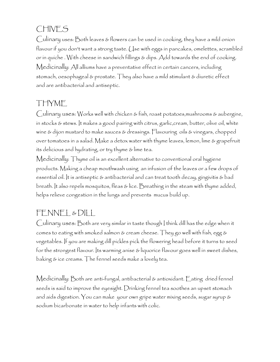# CHIVES

Culinary uses: Both leaves & flowers can be used in cooking, they have a mild onion flavour if you don't want a strong taste. Use with eggs in pancakes, omelettes, scrambled or in quiche . With cheese in sandwich fillings & dips. Add towards the end of cooking. Medicinally: All alliums have a preventative effect in certain cancers, including stomach, oesophageal & prostate. They also have a mild stimulant & diuretic effect and are antibacterial and antiseptic.

### THYME

Culinary uses: Works well with chicken & fish, roast potatoes,mushrooms & aubergine, in stocks & stews. It makes a good pairing with citrus, garlic,cream, butter, olive oil, white wine & dijon mustard to make sauces & dressings. Flavouring oils & vinegars, chopped over tomatoes in a salad. Make a detox water with thyme leaves, lemon, lime & grapefruit its delicious and hydrating, or try thyme & lime tea.

Medicinally: Thyme oil is an excellent alternative to conventional oral hygiene products. Making a cheap mouthwash using an infusion of the leaves or a few drops of essential oil. It is antiseptic & antibacterial and can treat tooth decay, gingivitis & bad breath. It also repels mosquitos, fleas & lice. Breathing in the steam with thyme added, helps relieve congestion in the lungs and prevents mucus build up.

# FENNEL & DILL

Culinary uses: Both are very similar in taste though I think dill has the edge when it comes to eating with smoked salmon  $\varepsilon$  cream cheese. They go well with fish, egg  $\varepsilon$ vegetables. If you are making dill pickles pick the flowering head before it turns to seed for the strongest flavour. Its warming anise & liquorice flavour goes well in sweet dishes, baking & ice creams. The fennel seeds make a lovely tea.

Medicinally: Both are anti-fungal, antibacterial & antioxidant. Eating dried fennel seeds is said to improve the eyesight. Drinking fennel tea soothes an upset stomach and aids digestion. You can make your own gripe water mixing seeds, sugar syrup & sodium bicarbonate in water to help infants with colic.